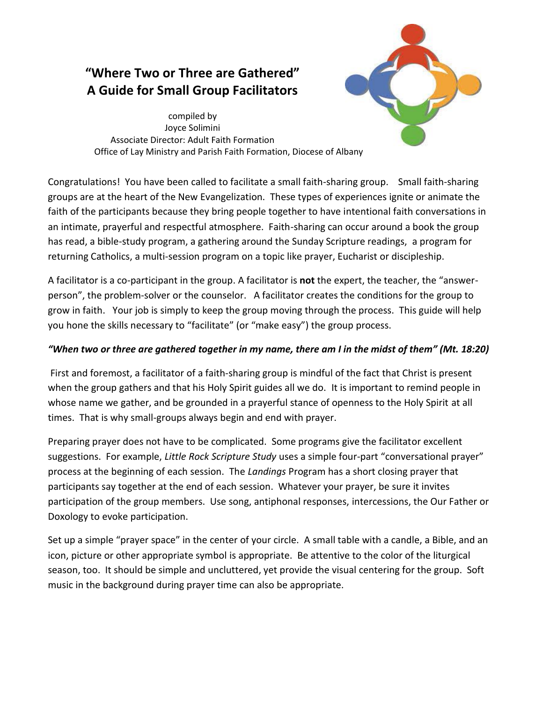# **"Where Two or Three are Gathered" A Guide for Small Group Facilitators**



compiled by Joyce Solimini Associate Director: Adult Faith Formation Office of Lay Ministry and Parish Faith Formation, Diocese of Albany

Congratulations! You have been called to facilitate a small faith-sharing group. Small faith-sharing groups are at the heart of the New Evangelization. These types of experiences ignite or animate the faith of the participants because they bring people together to have intentional faith conversations in an intimate, prayerful and respectful atmosphere. Faith-sharing can occur around a book the group has read, a bible-study program, a gathering around the Sunday Scripture readings, a program for returning Catholics, a multi-session program on a topic like prayer, Eucharist or discipleship.

A facilitator is a co-participant in the group. A facilitator is **not** the expert, the teacher, the "answerperson", the problem-solver or the counselor. A facilitator creates the conditions for the group to grow in faith. Your job is simply to keep the group moving through the process. This guide will help you hone the skills necessary to "facilitate" (or "make easy") the group process.

# *"When two or three are gathered together in my name, there am I in the midst of them" (Mt. 18:20)*

First and foremost, a facilitator of a faith-sharing group is mindful of the fact that Christ is present when the group gathers and that his Holy Spirit guides all we do. It is important to remind people in whose name we gather, and be grounded in a prayerful stance of openness to the Holy Spirit at all times. That is why small-groups always begin and end with prayer.

Preparing prayer does not have to be complicated. Some programs give the facilitator excellent suggestions. For example, *Little Rock Scripture Study* uses a simple four-part "conversational prayer" process at the beginning of each session. The *Landings* Program has a short closing prayer that participants say together at the end of each session. Whatever your prayer, be sure it invites participation of the group members. Use song, antiphonal responses, intercessions, the Our Father or Doxology to evoke participation.

Set up a simple "prayer space" in the center of your circle. A small table with a candle, a Bible, and an icon, picture or other appropriate symbol is appropriate. Be attentive to the color of the liturgical season, too. It should be simple and uncluttered, yet provide the visual centering for the group. Soft music in the background during prayer time can also be appropriate.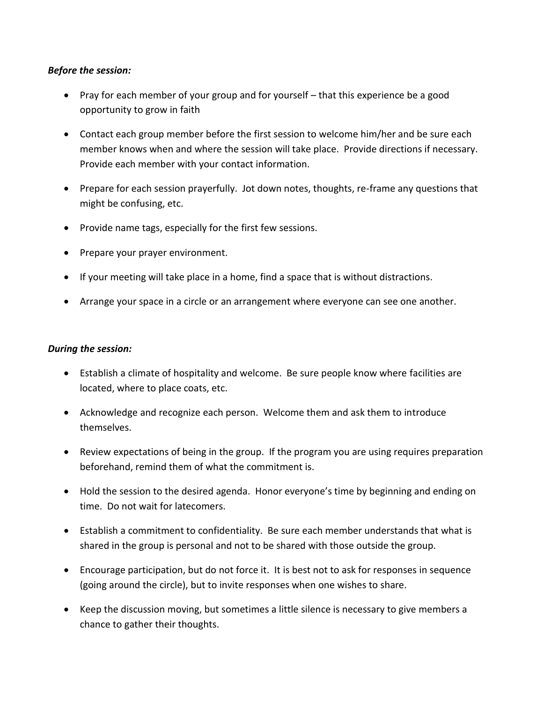#### *Before the session:*

- Pray for each member of your group and for yourself that this experience be a good opportunity to grow in faith
- Contact each group member before the first session to welcome him/her and be sure each member knows when and where the session will take place. Provide directions if necessary. Provide each member with your contact information.
- Prepare for each session prayerfully. Jot down notes, thoughts, re-frame any questions that might be confusing, etc.
- Provide name tags, especially for the first few sessions.
- Prepare your prayer environment.
- If your meeting will take place in a home, find a space that is without distractions.
- Arrange your space in a circle or an arrangement where everyone can see one another.

## *During the session:*

- Establish a climate of hospitality and welcome. Be sure people know where facilities are located, where to place coats, etc.
- Acknowledge and recognize each person. Welcome them and ask them to introduce themselves.
- Review expectations of being in the group. If the program you are using requires preparation beforehand, remind them of what the commitment is.
- Hold the session to the desired agenda. Honor everyone's time by beginning and ending on time. Do not wait for latecomers.
- Establish a commitment to confidentiality. Be sure each member understands that what is shared in the group is personal and not to be shared with those outside the group.
- Encourage participation, but do not force it. It is best not to ask for responses in sequence (going around the circle), but to invite responses when one wishes to share.
- Keep the discussion moving, but sometimes a little silence is necessary to give members a chance to gather their thoughts.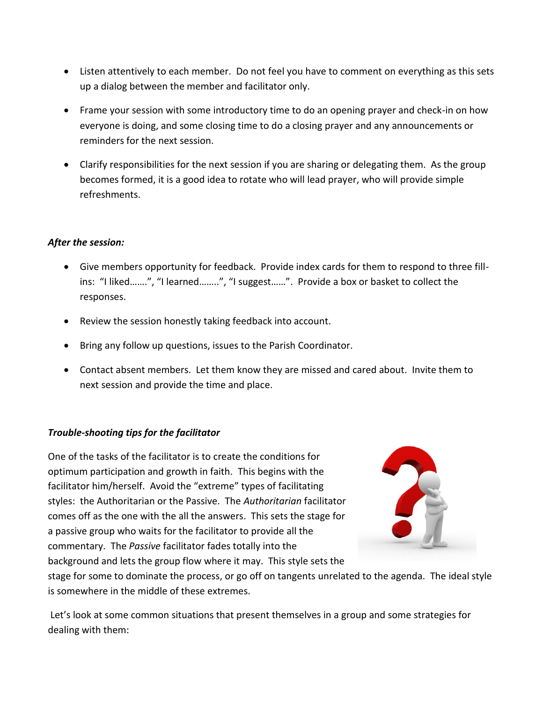- Listen attentively to each member. Do not feel you have to comment on everything as this sets up a dialog between the member and facilitator only.
- Frame your session with some introductory time to do an opening prayer and check-in on how everyone is doing, and some closing time to do a closing prayer and any announcements or reminders for the next session.
- Clarify responsibilities for the next session if you are sharing or delegating them. As the group becomes formed, it is a good idea to rotate who will lead prayer, who will provide simple refreshments.

## *After the session:*

- Give members opportunity for feedback. Provide index cards for them to respond to three fillins: "I liked…….", "I learned……..", "I suggest……". Provide a box or basket to collect the responses.
- Review the session honestly taking feedback into account.
- Bring any follow up questions, issues to the Parish Coordinator.
- Contact absent members. Let them know they are missed and cared about. Invite them to next session and provide the time and place.

#### *Trouble-shooting tips for the facilitator*

One of the tasks of the facilitator is to create the conditions for optimum participation and growth in faith. This begins with the facilitator him/herself. Avoid the "extreme" types of facilitating styles: the Authoritarian or the Passive. The *Authoritarian* facilitator comes off as the one with the all the answers. This sets the stage for a passive group who waits for the facilitator to provide all the commentary. The *Passive* facilitator fades totally into the background and lets the group flow where it may. This style sets the



stage for some to dominate the process, or go off on tangents unrelated to the agenda. The ideal style is somewhere in the middle of these extremes.

Let's look at some common situations that present themselves in a group and some strategies for dealing with them: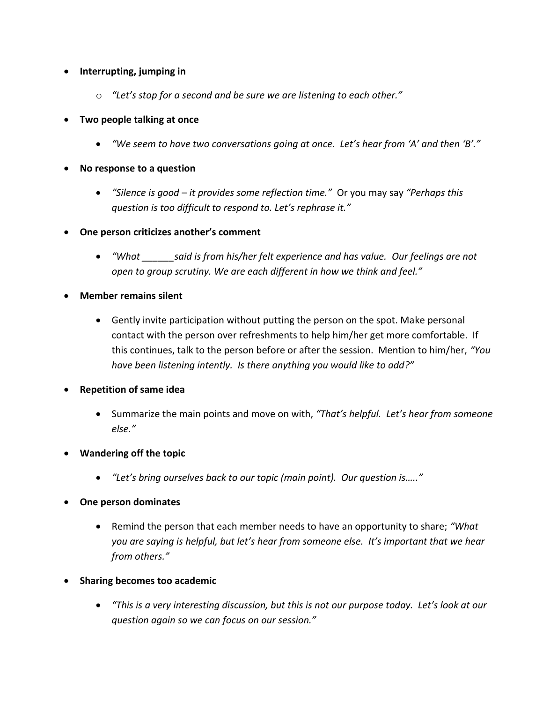# **Interrupting, jumping in**

- o *"Let's stop for a second and be sure we are listening to each other."*
- **Two people talking at once**
	- *"We seem to have two conversations going at once. Let's hear from 'A' and then 'B'."*
- **No response to a question**
	- *"Silence is good – it provides some reflection time."* Or you may say *"Perhaps this question is too difficult to respond to. Let's rephrase it."*
- **One person criticizes another's comment**
	- *"What \_\_\_\_\_\_said is from his/her felt experience and has value. Our feelings are not open to group scrutiny. We are each different in how we think and feel."*
- **Member remains silent**
	- Gently invite participation without putting the person on the spot. Make personal contact with the person over refreshments to help him/her get more comfortable. If this continues, talk to the person before or after the session. Mention to him/her, *"You have been listening intently. Is there anything you would like to add?"*
- **Repetition of same idea**
	- Summarize the main points and move on with, *"That's helpful. Let's hear from someone else."*
- **Wandering off the topic**
	- *"Let's bring ourselves back to our topic (main point). Our question is….."*
- **One person dominates**
	- Remind the person that each member needs to have an opportunity to share; *"What you are saying is helpful, but let's hear from someone else. It's important that we hear from others."*
- **Sharing becomes too academic**
	- *"This is a very interesting discussion, but this is not our purpose today. Let's look at our question again so we can focus on our session."*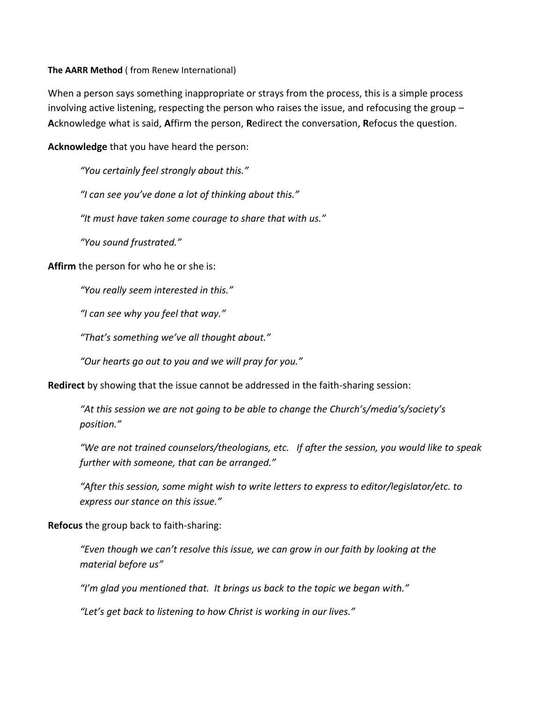#### **The AARR Method** ( from Renew International)

When a person says something inappropriate or strays from the process, this is a simple process involving active listening, respecting the person who raises the issue, and refocusing the group – **A**cknowledge what is said, **A**ffirm the person, **R**edirect the conversation, **R**efocus the question.

**Acknowledge** that you have heard the person:

*"You certainly feel strongly about this."*

*"I can see you've done a lot of thinking about this."*

*"It must have taken some courage to share that with us."*

*"You sound frustrated."*

**Affirm** the person for who he or she is:

*"You really seem interested in this."*

*"I can see why you feel that way."*

*"That's something we've all thought about."*

*"Our hearts go out to you and we will pray for you."*

**Redirect** by showing that the issue cannot be addressed in the faith-sharing session:

*"At this session we are not going to be able to change the Church's/media's/society's position."*

*"We are not trained counselors/theologians, etc. If after the session, you would like to speak further with someone, that can be arranged."*

*"After this session, some might wish to write letters to express to editor/legislator/etc. to express our stance on this issue."*

#### **Refocus** the group back to faith-sharing:

*"Even though we can't resolve this issue, we can grow in our faith by looking at the material before us"*

*"I'm glad you mentioned that. It brings us back to the topic we began with."*

*"Let's get back to listening to how Christ is working in our lives."*